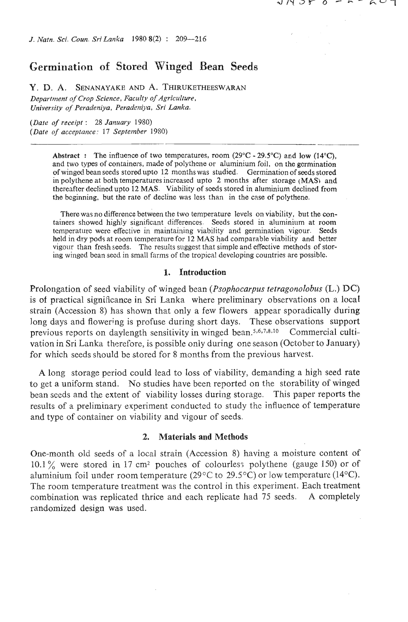*J. ~Valn. Sci. Coun. SriLmka 1980* **8(2)** : **209-216** 

# Germination of Stored Winged Bean Seeds

**Y.** D. **A. SENANAYAKE AND** A. **THIRUKETHEESWARAN**  *Department of Crop Science, Faculty of Agriculture, Univer.~ily of Peradeniya, Peradgniya, Sri Lanka.* 

*(Date of receipt* : *28 January* 1980) *(Dare of acceptance: 17 September* 1980)

> **Abstract :** The influence of two temperatures, room (29 $^{\circ}$ C - 29.5 $^{\circ}$ C) and low (14 $^{\circ}$ C), and two types of containers, made of polythene or aluminium foil, on the germination of winged bean seeds stored upto **12** months was studied. Germination of seeds stored in polythene at both temperatures increased upto 2 months after storage (MAS) and thereafter declined upto **12** MAS. Viability of sceds stored in aluminium declined from the beginning, but the rate of decline was less than in the case of polythene.

> There was no difference between the two temperature levels on viability, but the containers showed highly significant differences. Seeds stored in aluminium at room tcrnperature were effective in maintaining viability and germination vigour. Seeds held in dry pods at room temperature for **12** MAS had comparable viability and better vigour than fresh seeds. Thc results suggest that simple and effective methods of storing winged bean seed in small farms of the tropical developing countries are possible.

### **1.** Introduction

Prolongation of seed viability of winged bean *(Psophocarpus tetragonolobus* (L.) *DC)*  is of practical significance in Sri Lanka where preliminary observations on a locat strain (Accession 8) has shown that only a few flowers appear sporadically during long days and flowering is profuse during short days. These observations support previous reports on daylength sensitivity in winged bean.<sup>5,6,7,8,10</sup> Commercial cultivation in Sri Lanka therefore, is possible only during one season (October to January) for which seeds should be stored for 8 months from the previous harvest.

A long storage period could lead to loss of viability, demanding a high seed rate to get a uniform stand. No studies have been reported on the storability of winged bean seeds and the extent of viability losses during storage. This paper reports the results of a preliminary experiment conducted to study the influence of temperature and type of container on viability and vigour of seeds.

## **2.** Materials and Methods

One-month old seeds of a local strain (Accession 8) having a moisture content of 10.1% were stored in 17 cm<sup>2</sup> pouches of colourless polythene (gauge 150) or of aluminium foil under room temperature (29 $\degree$ C to 29.5 $\degree$ C) or low temperature (14 $\degree$ C). The room temperature treatment was the control in this experiment. Each treatment combination was replicated thrice and each replicate had 75 seeds. **A** completely randomized design was used.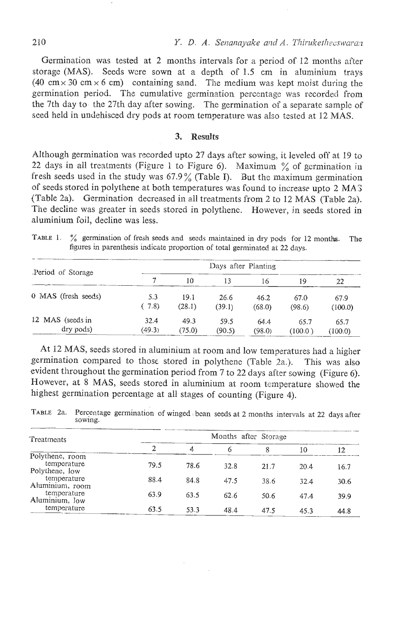Germination was tested at 2 months intervals for a period of 12 months after storage (MAS). Seeds wzre sown at a depth of 1.5 cm in aluminium trays (40 cm  $\times$  30 cm  $\times$  6 cm) containing sand. The medium was kept moist during the germination period. The cumulative germinztion percentage was recorded from the 7th day to the 27th day after sowing. The germination of a separate sample of seed held in undehisced dry pods at room temperature was also tested at 12 MAS.

#### $\overline{3}$ . **Results**

Although germination was recorded upto 27 days after sowing, it leveled off at 19 to 22 days in all treatments (Figure 1 to Figure 6). Maximum  $\%$  of germination in fresh seeds used in the study was  $67.9\%$  (Table I). But the maximum germination of seeds stored in polythene at both temperatures was found to increasc upto 2 MA3 (Table 2a). Germination decreased in all treatments from 2 to 12 MAS (Table 2a). The decline was greater in seeds stored in polythene. However, in seeds stored in aluminium foil, decline was less.

TABLE 1. % germination of fresh seeds and seeds maintained in dry pods for 12 months. The figures in parenthesis indicate proportion of total germinated at 22 days.

| aluminium foil, decline was less.                                                                                                                                      |                     |        |        |        |         |         |  |  |
|------------------------------------------------------------------------------------------------------------------------------------------------------------------------|---------------------|--------|--------|--------|---------|---------|--|--|
| TABLE 1.<br>% germination of fresh seeds and seeds maintained in dry pods for 12 months.<br>figures in parenthesis indicate proportion of total germinated at 22 days. |                     |        |        |        |         | The     |  |  |
| Period of Storage                                                                                                                                                      | Days after Planting |        |        |        |         |         |  |  |
|                                                                                                                                                                        | 7                   | 10     | 13     | 16     | 19      | 22      |  |  |
| 0 MAS (fresh seeds)                                                                                                                                                    | 5.3                 | 19.1   | 26.6   | 46.2   | 67.0    | 67.9    |  |  |
|                                                                                                                                                                        | (7.8)               | (28.1) | (39.1) | (68.0) | (98.6)  | (100.0) |  |  |
| 12 MAS (seeds in                                                                                                                                                       | 32.4                | 49.3   | 59.5   | 64.4   | 65.7    | 65.7    |  |  |
| dry pods)                                                                                                                                                              | (49.3)              | (75.0) | (90.5) | (98.0) | (100.0) | (100.0) |  |  |

At 12 MAS, seeds stored in aluminium at room and low temperatures had a higher germination compared to those stored in polythene (Table 2a.). This was also evident throughout the germination period from 7 to 22 days after sowing (Figure **6).**  However, at 8 MAS, seeds stored in aluminium at room temperature showed the highest germination percentage at all stages of counting (Figure 4).

TABLE 2a. Percentage germination of winged bean seeds at 2 months intervals at 22 days after sowing. sowing.

| Treatments                     |      |      | Months after Storage |      |      |      |
|--------------------------------|------|------|----------------------|------|------|------|
|                                | 2    | 4,   |                      | 8    | 10   | 12   |
| Polythene, room                |      |      |                      |      |      |      |
| temperature<br>Polythene, low  | 79.5 | 78.6 | 32.8                 | 21.7 | 20.4 | 16.7 |
| temperature<br>Aluminium, room | 88.4 | 84.8 | 47.5                 | 38.6 | 32.4 | 30.6 |
| temperature<br>Aluminium, low  | 63.9 | 63.5 | 62.6                 | 50.6 | 47.4 | 39.9 |
| temperature                    | 63.5 | 53.3 | 48.4                 | 47.5 | 45.3 | 44.8 |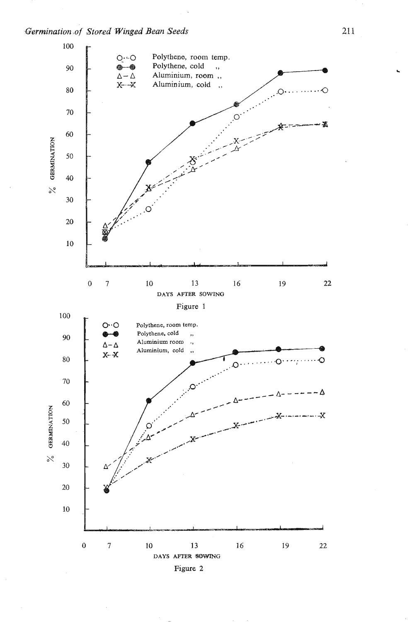Germination of Stored Winged Bean Seeds

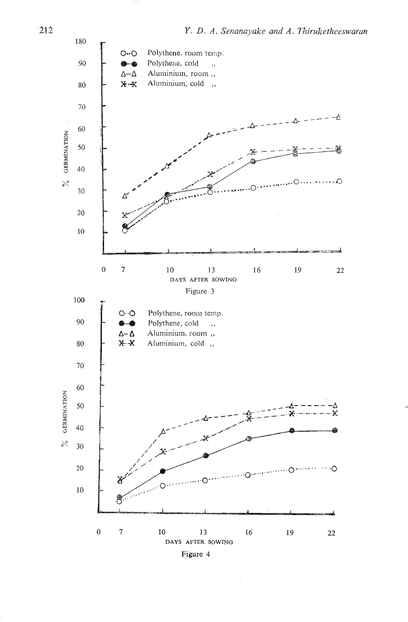

 $212$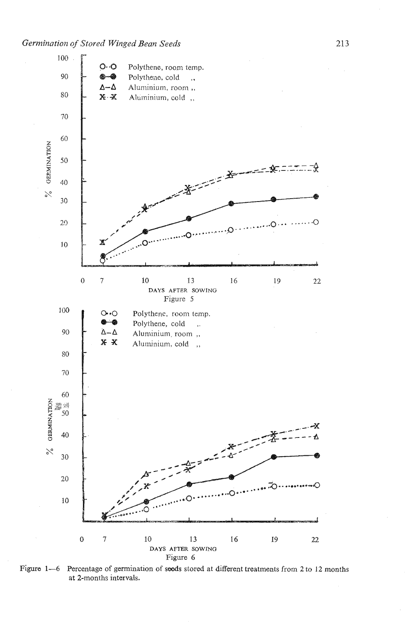

Figure 1-6 Percentage of germination of seeds stored at different treatments from 2 to 12 months at 2-months intervals.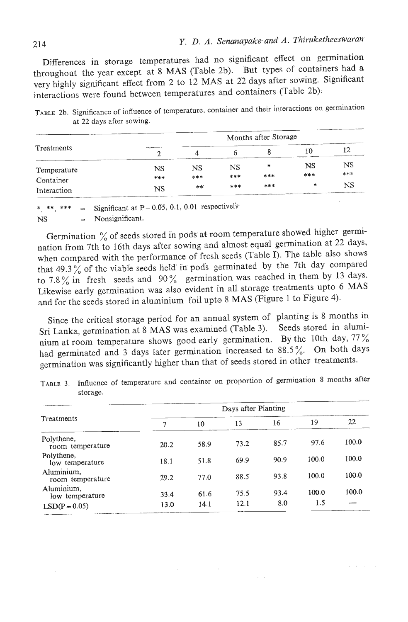Differences in storage temperatures had no significant effect on germination throughout the year except at 8 MAS (Table 2b). But types of containers had a very highly significant effect from 2 to 12 MAS at 22 days after sowing. Significant interactions were found between temperatures and containers (Table 2b);

| Treatments               | Months after Storage |       |             |     |                                                                                            |                                                           |  |  |
|--------------------------|----------------------|-------|-------------|-----|--------------------------------------------------------------------------------------------|-----------------------------------------------------------|--|--|
|                          |                      | 4     |             |     | 10                                                                                         |                                                           |  |  |
| Temperature<br>Container | NS                   | NS    | $_{\rm NS}$ | *   | NS                                                                                         | NS                                                        |  |  |
|                          | ***                  | ***   | ***         | *** | 计算术                                                                                        | ***                                                       |  |  |
| Interaction              | NS                   | $***$ | ***         | *** | *<br>www.communication.com/communication.com/communication.com/communication/communication | <b>NS</b><br>the official analysis and highlight comments |  |  |

 $T_{\text{max}}$  2b. Significance of influence of temperature, container and their interactions on germination suincation of mitiative of

 $**$  \*\*\*  $Sineifgent at P = 0.05, 0.1, 0.01$  respectively \*\*, \*\*\*  $=$  Significant at P=

Germination  $\%$  of seeds stored in pods at room temperature showed higher germination from 7th to 16th days after sowing and almost equal germination at 22 days, when compared with the performance of fresh seeds (Table I). The table also shows that 49.3 % of the viable seeds held in pods germinated by the 7th day compared to 7.8% in fresh seeds and 90% germination was reached in them by 13 days. Likewise early germination was also evident in all storage treatments upto 6 MAS and for the seeds stored in aluminium foil upto 8 MAS (Figure 1 to Figure 4).

Since the critical storage period for an annual system of planting is 8 months in Sri Lanka, germination at 8 MAS was examined (Table 3). Seeds stored in aluminium at room temperature shows good early germination. By the 10th day, 77 % had germinated and 3 days later germination increased to 88.5%. On both days germination was significantly higher than that of seeds stored in other: treatments.

| Treatments                     | Days after Planting |      |      |      |       |       |  |
|--------------------------------|---------------------|------|------|------|-------|-------|--|
|                                | 7                   | 10   | 13   | 16   | 19    | 22    |  |
| Polythene,<br>room temperature | 20.2                | 58.9 | 73.2 | 85.7 | 97.6  | 100.0 |  |
| Polythene,<br>low temperature  | 18.1                | 51.8 | 69.9 | 90.9 | 100.0 | 100.0 |  |
| Aluminium,<br>room temperature | 29.2                | 77.0 | 88.5 | 93.8 | 100.0 | 100.0 |  |
| Aluminium,<br>low temperature  | 33.4                | 61.6 | 75.5 | 93.4 | 100.0 | 100.0 |  |
| $LSD(P = 0.05)$                | 13.0                | 14.1 | 12.1 | 8.0  | 1.5   |       |  |

TABU **3.** Influence of temperature and container on proportion of germination **8** months after  $\frac{1}{2}$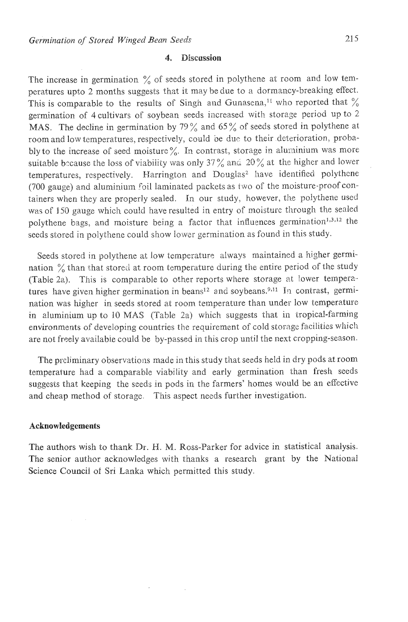## 4. Discussion

The increase in germination  $\frac{6}{6}$  of seeds stored in polythene at room and low temperatures upto 2 months suggests that it may be due to a dormancy-breaking effect. This is comparable to the results of Singh and Gunasena,<sup>11</sup> who reported that  $\%$ germination of 4 cultivars of soybean seeds increased with storage period up to 2 MAS. The decline in germination by 79% and 65% of seeds stored in polythene at room and low temperatures, respectively, could be due to their deterioration, probably to the increase of seed moisture  $\%$ . In contrast, storage in aluminium was more suitable because the loss of viability was only 37% and 20% at the higher and lower temperatures, respectively. Harrington and Douglas<sup>2</sup> have identified polythene (700 gauge) and aluminium foil laminated packets as two of the moisture-proof containers when they are properly sealed. In our study, however, the polythene used was of 150 gauge which could have resulted in entry of moisture through the sealed polythene bags, and moisture being a factor that influences germination<sup>1,3,12</sup> the seeds stored in polythene could show lower germination as found in this study.

Seeds stored in polythene at low temperature always maintained a higher germination  $\%$  than that stored at room temperature during the entire period of the study (Table 2a). This is comparable to other reports where storage at lower temperatures have given higher germination in beans<sup>12</sup> and soybeans.<sup>9,11</sup> In contrast, germination was higher in seeds stored at room temperature than under low temperature in aluminium up to 10 MAS (Table 2a) which suggests that in tropical-farming environments of developing countries the requirement of cold storage facilities which are not freely available could be by-passed in this crop until the next cropping-season.

The preliminary observations made in this study that seeds held in dry pods at room temperature had a comparable viability and early germination than fresh seeds suggests that keeping the seeds in pods in the farmers' homes would be an effective and cheap method of storage. This aspect needs further investigation.

### **Acknowledgements**

The authors wish to thank Dr. H. M. Ross-Parker for advice in statistical analysis. The senior author acknowledges with thanks a research grant by the National Science Council of Sri Lanka which permitted this study.